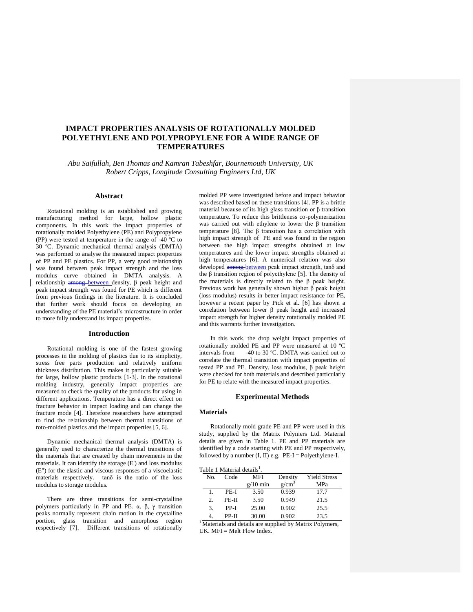# **IMPACT PROPERTIES ANALYSIS OF ROTATIONALLY MOLDED POLYETHYLENE AND POLYPROPYLENE FOR A WIDE RANGE OF TEMPERATURES**

*Abu Saifullah, Ben Thomas and Kamran Tabeshfar, Bournemouth University, UK Robert Cripps, Longitude Consulting Engineers Ltd, UK*

#### **Abstract**

Rotational molding is an established and growing manufacturing method for large, hollow plastic components. In this work the impact properties of rotationally molded Polyethylene (PE) and Polypropylene (PP) were tested at temperature in the range of -40 ºC to 30 ºC. Dynamic mechanical thermal analysis (DMTA) was performed to analyse the measured impact properties of PP and PE plastics. For PP, a very good relationship was found between peak impact strength and the loss modulus curve obtained in DMTA analysis. A relationship  $\frac{amount}{amount}$  between density, β peak height and peak impact strength was found for PE which is different from previous findings in the literature. It is concluded that further work should focus on developing an understanding of the PE material's microstructure in order to more fully understand its impact properties.

#### **Introduction**

Rotational molding is one of the fastest growing processes in the molding of plastics due to its simplicity, stress free parts production and relatively uniform thickness distribution. This makes it particularly suitable for large, hollow plastic products [\[1-3\]](#page-3-0). In the rotational molding industry, generally impact properties are measured to check the quality of the products for using in different applications. Temperature has a direct effect on fracture behavior in impact loading and can change the fracture mode [\[4\]](#page-3-1). Therefore researchers have attempted to find the relationship between thermal transitions of roto-molded plastics and the impact properties [\[5,](#page-3-2) [6\]](#page-3-3).

Dynamic mechanical thermal analysis (DMTA) is generally used to characterize the thermal transitions of the materials that are created by chain movements in the materials. It can identify the storage (E') and loss modulus (E") for the elastic and viscous responses of a viscoelastic materials respectively. tanδ is the ratio of the loss modulus to storage modulus.

There are three transitions for semi-crystalline polymers particularly in PP and PE.  $\alpha$ ,  $\beta$ ,  $\gamma$  transition peaks normally represent chain motion in the crystalline portion, glass transition and amorphous region respectively [\[7\]](#page-3-4). Different transitions of rotationally molded PP were investigated before and impact behavior was described based on these transitions [\[4\]](#page-3-1). PP is a brittle material because of its high glass transition or β transition temperature. To reduce this brittleness co-polymerization was carried out with ethylene to lower the β transition temperature [\[8\]](#page-3-5). The β transition has a correlation with high impact strength of PE and was found in the region between the high impact strengths obtained at low temperatures and the lower impact strengths obtained at high temperatures [\[6\]](#page-3-3). A numerical relation was also developed among between peak impact strength, tanδ and the β transition region of polyethylene [\[5\]](#page-3-2). The density of the materials is directly related to the β peak height. Previous work has generally shown higher β peak height (loss modulus) results in better impact resistance for PE, however a recent paper by Pick et al. [\[6\]](#page-3-3) has shown a correlation between lower β peak height and increased impact strength for higher density rotationally molded PE and this warrants further investigation.

In this work, the drop weight impact properties of rotationally molded PE and PP were measured at 10 ºC intervals from -40 to 30 ºC. DMTA was carried out to correlate the thermal transition with impact properties of tested PP and PE. Density, loss modulus, β peak height were checked for both materials and described particularly for PE to relate with the measured impact properties.

#### **Experimental Methods**

### **Materials**

Rotationally mold grade PE and PP were used in this study, supplied by the Matrix Polymers Ltd. Material details are given in Table 1. PE and PP materials are identified by a code starting with PE and PP respectively, followed by a number  $(I, II)$  e.g.  $PE-I = Polyethylene-I$ .

Table 1 Material details $<sup>1</sup>$ </sup>

|     | able 1 Material details <sup>1</sup> . |            |          |                     |
|-----|----------------------------------------|------------|----------|---------------------|
| No. | Code                                   | MFI        | Density  | <b>Yield Stress</b> |
|     |                                        | $g/10$ min | $g/cm^3$ | MPa                 |
|     | PE-I                                   | 3.50       | 0.939    | 17.7                |
| 2.  | PE-II                                  | 3.50       | 0.949    | 21.5                |
| 3.  | PP-I                                   | 25.00      | 0.902    | 25.5                |
|     | PP-II                                  | 30.00      | 0.902    | 23.5                |

<sup>1</sup> Materials and details are supplied by Matrix Polymers, UK.  $MFI = Melt Flow Index.$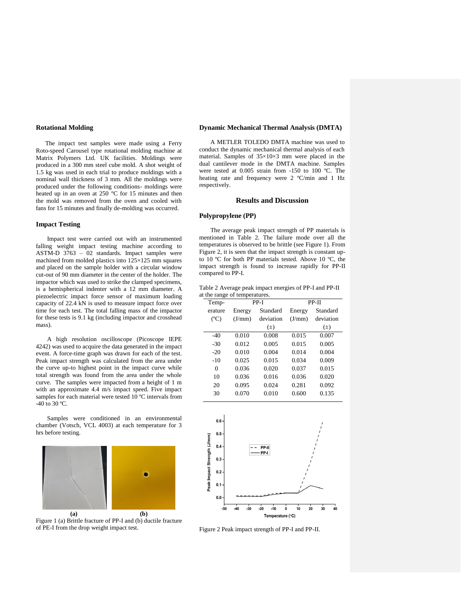### **Rotational Molding**

 The impact test samples were made using a Ferry Roto-speed Carousel type rotational molding machine at Matrix Polymers Ltd. UK facilities. Moldings were produced in a 300 mm steel cube mold. A shot weight of 1.5 kg was used in each trial to produce moldings with a nominal wall thickness of 3 mm. All the moldings were produced under the following conditions- moldings were heated up in an oven at 250 °C for 15 minutes and then the mold was removed from the oven and cooled with fans for 15 minutes and finally de-molding was occurred.

#### **Impact Testing**

Impact test were carried out with an instrumented falling weight impact testing machine according to ASTM-D 3763 – 02 standards. Impact samples were machined from molded plastics into 125×125 mm squares and placed on the sample holder with a circular window cut-out of 90 mm diameter in the center of the holder. The impactor which was used to strike the clamped specimens, is a hemispherical indenter with a 12 mm diameter. A piezoelectric impact force sensor of maximum loading capacity of 22.4 kN is used to measure impact force over time for each test. The total falling mass of the impactor for these tests is 9.1 kg (including impactor and crosshead mass).

A high resolution oscilloscope (Picoscope IEPE 4242) was used to acquire the data generated in the impact event. A force-time graph was drawn for each of the test. Peak impact strength was calculated from the area under the curve up-to highest point in the impact curve while total strength was found from the area under the whole curve. The samples were impacted from a height of 1 m with an approximate 4.4 m/s impact speed. Five impact samples for each material were tested 10 °C intervals from -40 to 30 ºC.

Samples were conditioned in an environmental chamber (Votsch, VCL 4003) at each temperature for 3 hrs before testing.



Figure 1 (a) Brittle fracture of PP-I and (b) ductile fracture of PE-I from the drop weight impact test.

#### **Dynamic Mechanical Thermal Analysis (DMTA)**

A METLER TOLEDO DMTA machine was used to conduct the dynamic mechanical thermal analysis of each material. Samples of  $35\times10\times3$  mm were placed in the dual cantilever mode in the DMTA machine. Samples were tested at 0.005 strain from -150 to 100 ºC. The heating rate and frequency were 2 ºC/min and 1 Hz respectively.

## **Results and Discussion**

### **Polypropylene (PP)**

The average peak impact strength of PP materials is mentioned in Table 2. The failure mode over all the temperatures is observed to be brittle (see Figure 1). From Figure 2, it is seen that the impact strength is constant upto 10 ºC for both PP materials tested. Above 10 ºC, the impact strength is found to increase rapidly for PP-II compared to PP-I.

Table 2 Average peak impact energies of PP-I and PP-II at the range of temperatures.

| Temp-          | PP-I   |           | PP-II  |           |
|----------------|--------|-----------|--------|-----------|
|                |        |           |        |           |
| erature        | Energy | Standard  | Energy | Standard  |
| $(C^{\circ}C)$ | (J/mm) | deviation | (J/mm) | deviation |
|                |        | $(\pm)$   |        | $(\pm)$   |
| $-40$          | 0.010  | 0.008     | 0.015  | 0.007     |
| $-30$          | 0.012  | 0.005     | 0.015  | 0.005     |
| $-20$          | 0.010  | 0.004     | 0.014  | 0.004     |
| $-10$          | 0.025  | 0.015     | 0.034  | 0.009     |
| $\theta$       | 0.036  | 0.020     | 0.037  | 0.015     |
| 10             | 0.036  | 0.016     | 0.036  | 0.020     |
| 20             | 0.095  | 0.024     | 0.281  | 0.092     |
| 30             | 0.070  | 0.010     | 0.600  | 0.135     |
|                |        |           |        |           |

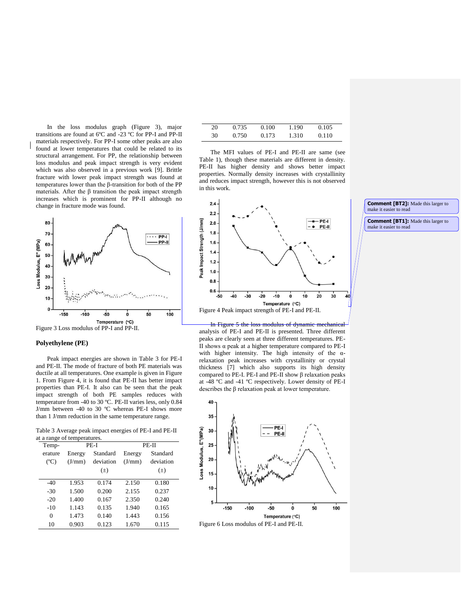In the loss modulus graph (Figure 3), major transitions are found at 6ºC and -23 ºC for PP-I and PP-II materials respectively. For PP-I some other peaks are also found at lower temperatures that could be related to its structural arrangement. For PP, the relationship between loss modulus and peak impact strength is very evident which was also observed in a previous work [\[9\]](#page-3-6). Brittle fracture with lower peak impact strength was found at temperatures lower than the β-transition for both of the PP materials. After the β transition the peak impact strength increases which is prominent for PP-II although no change in fracture mode was found.



### **Polyethylene (PE)**

Peak impact energies are shown in Table 3 for PE-I and PE-II. The mode of fracture of both PE materials was ductile at all temperatures. One example is given in Figure 1. From Figure 4, it is found that PE-II has better impact properties than PE-I. It also can be seen that the peak impact strength of both PE samples reduces with temperature from -40 to 30 ºC. PE-II varies less, only 0.84 J/mm between -40 to 30 ºC whereas PE-I shows more than 1 J/mm reduction in the same temperature range.

Table 3 Average peak impact energies of PE-I and PE-II

| at a range of temperatures. |        |           |        |           |  |
|-----------------------------|--------|-----------|--------|-----------|--|
| Temp-                       | PE-I   |           | PE-II  |           |  |
| erature                     | Energy | Standard  | Energy | Standard  |  |
| $(C^{\circ}C)$              | (J/mm) | deviation | (J/mm) | deviation |  |
|                             |        | $(\pm)$   |        | $(\pm)$   |  |
|                             |        |           |        |           |  |
| $-40$                       | 1.953  | 0.174     | 2.150  | 0.180     |  |
| $-30$                       | 1.500  | 0.200     | 2.155  | 0.237     |  |
| $-20$                       | 1.400  | 0.167     | 2.350  | 0.240     |  |
| $-10$                       | 1.143  | 0.135     | 1.940  | 0.165     |  |
| 0                           | 1.473  | 0.140     | 1.443  | 0.156     |  |
| 10                          | 0.903  | 0.123     | 1.670  | 0.115     |  |

| 20 | 0.735 | 0.100 | 1.190 | 0.105 |
|----|-------|-------|-------|-------|
| 30 | 0.750 | 0.173 | 1.310 | 0.110 |

The MFI values of PE-I and PE-II are same (see Table 1), though these materials are different in density. PE-II has higher density and shows better impact properties. Normally density increases with crystallinity and reduces impact strength, however this is not observed in this work.



In Figure 5 the loss modulus of dynamic mechanical analysis of PE-I and PE-II is presented. Three different peaks are clearly seen at three different temperatures. PE-II shows α peak at a higher temperature compared to PE-I with higher intensity. The high intensity of the  $\alpha$ relaxation peak increases with crystallinity or crystal thickness [\[7\]](#page-3-4) which also supports its high density compared to PE-I. PE-I and PE-II show β relaxation peaks at -48 ºC and -41 ºC respectively. Lower density of PE-I describes the β relaxation peak at lower temperature.





**Comment [BT1]:** Made this larger to make it easier to read